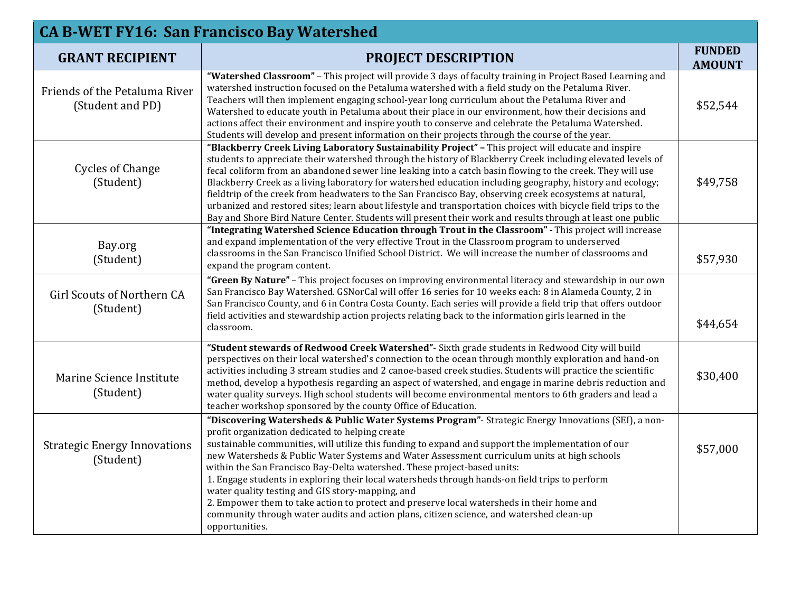| <b>CA B-WET FY16: San Francisco Bay Watershed</b> |                                                                                                                                                                                                                                                                                                                                                                                                                                                                                                                                                                                                                                                                                                                                                                                                          |                                |  |
|---------------------------------------------------|----------------------------------------------------------------------------------------------------------------------------------------------------------------------------------------------------------------------------------------------------------------------------------------------------------------------------------------------------------------------------------------------------------------------------------------------------------------------------------------------------------------------------------------------------------------------------------------------------------------------------------------------------------------------------------------------------------------------------------------------------------------------------------------------------------|--------------------------------|--|
| <b>GRANT RECIPIENT</b>                            | <b>PROJECT DESCRIPTION</b>                                                                                                                                                                                                                                                                                                                                                                                                                                                                                                                                                                                                                                                                                                                                                                               | <b>FUNDED</b><br><b>AMOUNT</b> |  |
| Friends of the Petaluma River<br>(Student and PD) | "Watershed Classroom" - This project will provide 3 days of faculty training in Project Based Learning and<br>watershed instruction focused on the Petaluma watershed with a field study on the Petaluma River.<br>Teachers will then implement engaging school-year long curriculum about the Petaluma River and<br>Watershed to educate youth in Petaluma about their place in our environment, how their decisions and<br>actions affect their environment and inspire youth to conserve and celebrate the Petaluma Watershed.<br>Students will develop and present information on their projects through the course of the year.                                                                                                                                                                     | \$52,544                       |  |
| <b>Cycles of Change</b><br>(Student)              | "Blackberry Creek Living Laboratory Sustainability Project" - This project will educate and inspire<br>students to appreciate their watershed through the history of Blackberry Creek including elevated levels of<br>fecal coliform from an abandoned sewer line leaking into a catch basin flowing to the creek. They will use<br>Blackberry Creek as a living laboratory for watershed education including geography, history and ecology;<br>fieldtrip of the creek from headwaters to the San Francisco Bay, observing creek ecosystems at natural,<br>urbanized and restored sites; learn about lifestyle and transportation choices with bicycle field trips to the<br>Bay and Shore Bird Nature Center. Students will present their work and results through at least one public                 | \$49,758                       |  |
| Bay.org<br>(Student)                              | "Integrating Watershed Science Education through Trout in the Classroom" - This project will increase<br>and expand implementation of the very effective Trout in the Classroom program to underserved<br>classrooms in the San Francisco Unified School District. We will increase the number of classrooms and<br>expand the program content.                                                                                                                                                                                                                                                                                                                                                                                                                                                          | \$57,930                       |  |
| Girl Scouts of Northern CA<br>(Student)           | "Green By Nature" - This project focuses on improving environmental literacy and stewardship in our own<br>San Francisco Bay Watershed. GSNorCal will offer 16 series for 10 weeks each: 8 in Alameda County, 2 in<br>San Francisco County, and 6 in Contra Costa County. Each series will provide a field trip that offers outdoor<br>field activities and stewardship action projects relating back to the information girls learned in the<br>classroom.                                                                                                                                                                                                                                                                                                                                              | \$44,654                       |  |
| Marine Science Institute<br>(Student)             | "Student stewards of Redwood Creek Watershed" - Sixth grade students in Redwood City will build<br>perspectives on their local watershed's connection to the ocean through monthly exploration and hand-on<br>activities including 3 stream studies and 2 canoe-based creek studies. Students will practice the scientific<br>method, develop a hypothesis regarding an aspect of watershed, and engage in marine debris reduction and<br>water quality surveys. High school students will become environmental mentors to 6th graders and lead a<br>teacher workshop sponsored by the county Office of Education.                                                                                                                                                                                       | \$30,400                       |  |
| <b>Strategic Energy Innovations</b><br>(Student)  | "Discovering Watersheds & Public Water Systems Program"- Strategic Energy Innovations (SEI), a non-<br>profit organization dedicated to helping create<br>sustainable communities, will utilize this funding to expand and support the implementation of our<br>new Watersheds & Public Water Systems and Water Assessment curriculum units at high schools<br>within the San Francisco Bay-Delta watershed. These project-based units:<br>1. Engage students in exploring their local watersheds through hands-on field trips to perform<br>water quality testing and GIS story-mapping, and<br>2. Empower them to take action to protect and preserve local watersheds in their home and<br>community through water audits and action plans, citizen science, and watershed clean-up<br>opportunities. | \$57,000                       |  |